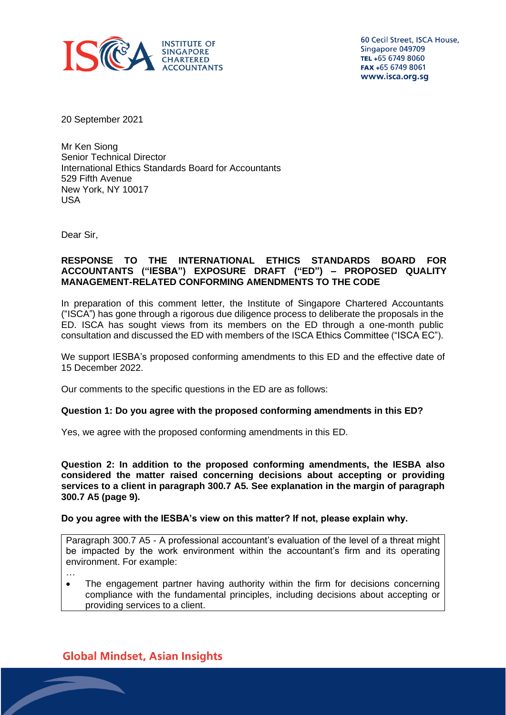

60 Cecil Street, ISCA House, Singapore 049709 TEL +65 6749 8060 FAX +65 6749 8061 www.isca.org.sg

20 September 2021

Mr Ken Siong Senior Technical Director International Ethics Standards Board for Accountants 529 Fifth Avenue New York, NY 10017 USA

Dear Sir,

## **RESPONSE TO THE INTERNATIONAL ETHICS STANDARDS BOARD FOR ACCOUNTANTS ("IESBA") EXPOSURE DRAFT ("ED") – PROPOSED QUALITY MANAGEMENT-RELATED CONFORMING AMENDMENTS TO THE CODE**

In preparation of this comment letter, the Institute of Singapore Chartered Accountants ("ISCA") has gone through a rigorous due diligence process to deliberate the proposals in the ED. ISCA has sought views from its members on the ED through a one-month public consultation and discussed the ED with members of the ISCA Ethics Committee ("ISCA EC").

We support IESBA's proposed conforming amendments to this ED and the effective date of 15 December 2022.

Our comments to the specific questions in the ED are as follows:

#### **Question 1: Do you agree with the proposed conforming amendments in this ED?**

Yes, we agree with the proposed conforming amendments in this ED.

**Question 2: In addition to the proposed conforming amendments, the IESBA also considered the matter raised concerning decisions about accepting or providing services to a client in paragraph 300.7 A5. See explanation in the margin of paragraph 300.7 A5 (page 9).**

#### **Do you agree with the IESBA's view on this matter? If not, please explain why.**

Paragraph 300.7 A5 - A professional accountant's evaluation of the level of a threat might be impacted by the work environment within the accountant's firm and its operating environment. For example:

…

• The engagement partner having authority within the firm for decisions concerning compliance with the fundamental principles, including decisions about accepting or providing services to a client.

# **Global Mindset, Asian Insights**